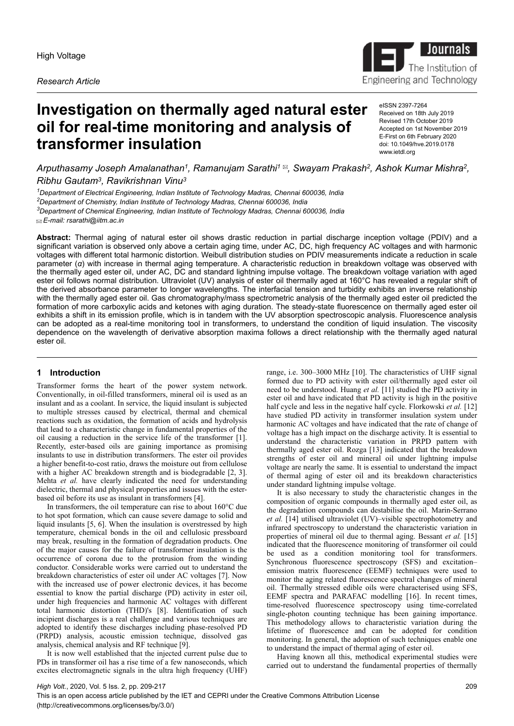*Research Article*



# **Investigation on thermally aged natural ester oil for real-time monitoring and analysis of transformer insulation**

eISSN 2397-7264 Received on 18th July 2019 Revised 17th October 2019 Accepted on 1st November 2019 E-First on 6th February 2020 doi: 10.1049/hve.2019.0178 www.ietdl.org

*Arputhasamy Joseph Amalanathan<sup>1</sup> , Ramanujam Sarathi<sup>1</sup> , Swayam Prakash<sup>2</sup> , Ashok Kumar Mishra<sup>2</sup> , Ribhu Gautam<sup>3</sup> , Ravikrishnan Vinu<sup>3</sup>*

*Department of Electrical Engineering, Indian Institute of Technology Madras, Chennai 600036, India Department of Chemistry, Indian Institute of Technology Madras, Chennai 600036, India Department of Chemical Engineering, Indian Institute of Technology Madras, Chennai 600036, India E-mail: rsarathi@iitm.ac.in*

**Abstract:** Thermal aging of natural ester oil shows drastic reduction in partial discharge inception voltage (PDIV) and a significant variation is observed only above a certain aging time, under AC, DC, high frequency AC voltages and with harmonic voltages with different total harmonic distortion. Weibull distribution studies on PDIV measurements indicate a reduction in scale parameter (*α*) with increase in thermal aging temperature. A characteristic reduction in breakdown voltage was observed with the thermally aged ester oil, under AC, DC and standard lightning impulse voltage. The breakdown voltage variation with aged ester oil follows normal distribution. Ultraviolet (UV) analysis of ester oil thermally aged at 160°C has revealed a regular shift of the derived absorbance parameter to longer wavelengths. The interfacial tension and turbidity exhibits an inverse relationship with the thermally aged ester oil. Gas chromatography/mass spectrometric analysis of the thermally aged ester oil predicted the formation of more carboxylic acids and ketones with aging duration. The steady-state fluorescence on thermally aged ester oil exhibits a shift in its emission profile, which is in tandem with the UV absorption spectroscopic analysis. Fluorescence analysis can be adopted as a real-time monitoring tool in transformers, to understand the condition of liquid insulation. The viscosity dependence on the wavelength of derivative absorption maxima follows a direct relationship with the thermally aged natural ester oil.

# **1 Introduction**

Transformer forms the heart of the power system network. Conventionally, in oil-filled transformers, mineral oil is used as an insulant and as a coolant. In service, the liquid insulant is subjected to multiple stresses caused by electrical, thermal and chemical reactions such as oxidation, the formation of acids and hydrolysis that lead to a characteristic change in fundamental properties of the oil causing a reduction in the service life of the transformer [1]. Recently, ester-based oils are gaining importance as promising insulants to use in distribution transformers. The ester oil provides a higher benefit-to-cost ratio, draws the moisture out from cellulose with a higher AC breakdown strength and is biodegradable [2, 3]. Mehta *et al.* have clearly indicated the need for understanding dielectric, thermal and physical properties and issues with the esterbased oil before its use as insulant in transformers [4].

In transformers, the oil temperature can rise to about 160°C due to hot spot formation, which can cause severe damage to solid and liquid insulants [5, 6]. When the insulation is overstressed by high temperature, chemical bonds in the oil and cellulosic pressboard may break, resulting in the formation of degradation products. One of the major causes for the failure of transformer insulation is the occurrence of corona due to the protrusion from the winding conductor. Considerable works were carried out to understand the breakdown characteristics of ester oil under AC voltages [7]. Now with the increased use of power electronic devices, it has become essential to know the partial discharge (PD) activity in ester oil, under high frequencies and harmonic AC voltages with different total harmonic distortion (THD)'s [8]. Identification of such incipient discharges is a real challenge and various techniques are adopted to identify these discharges including phase-resolved PD (PRPD) analysis, acoustic emission technique, dissolved gas analysis, chemical analysis and RF technique [9].

It is now well established that the injected current pulse due to PDs in transformer oil has a rise time of a few nanoseconds, which excites electromagnetic signals in the ultra high frequency (UHF)

range, i.e. 300–3000 MHz [10]. The characteristics of UHF signal formed due to PD activity with ester oil/thermally aged ester oil need to be understood. Huang *et al.* [11] studied the PD activity in ester oil and have indicated that PD activity is high in the positive half cycle and less in the negative half cycle. Florkowski *et al.* [12] have studied PD activity in transformer insulation system under harmonic AC voltages and have indicated that the rate of change of voltage has a high impact on the discharge activity. It is essential to understand the characteristic variation in PRPD pattern with thermally aged ester oil. Rozga [13] indicated that the breakdown strengths of ester oil and mineral oil under lightning impulse voltage are nearly the same. It is essential to understand the impact of thermal aging of ester oil and its breakdown characteristics under standard lightning impulse voltage.

It is also necessary to study the characteristic changes in the composition of organic compounds in thermally aged ester oil, as the degradation compounds can destabilise the oil. Marin-Serrano *et al.* [14] utilised ultraviolet (UV)–visible spectrophotometry and infrared spectroscopy to understand the characteristic variation in properties of mineral oil due to thermal aging. Bessant *et al.* [15] indicated that the fluorescence monitoring of transformer oil could be used as a condition monitoring tool for transformers. Synchronous fluorescence spectroscopy (SFS) and excitation– emission matrix fluorescence (EEMF) techniques were used to monitor the aging related fluorescence spectral changes of mineral oil. Thermally stressed edible oils were characterised using SFS, EEMF spectra and PARAFAC modelling [16]. In recent times, time-resolved fluorescence spectroscopy using time-correlated single-photon counting technique has been gaining importance. This methodology allows to characteristic variation during the lifetime of fluorescence and can be adopted for condition monitoring. In general, the adoption of such techniques enable one to understand the impact of thermal aging of ester oil.

Having known all this, methodical experimental studies were carried out to understand the fundamental properties of thermally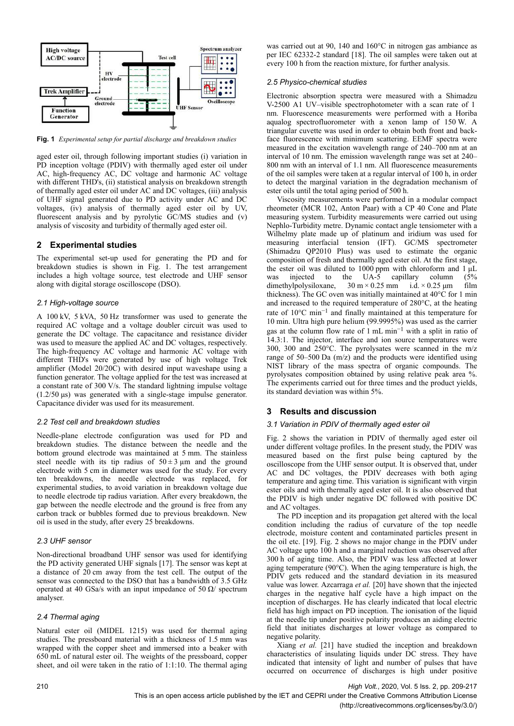

**Fig. 1** *Experimental setup for partial discharge and breakdown studies*

aged ester oil, through following important studies (i) variation in PD inception voltage (PDIV) with thermally aged ester oil under AC, high-frequency AC, DC voltage and harmonic AC voltage with different THD's, (ii) statistical analysis on breakdown strength of thermally aged ester oil under AC and DC voltages, (iii) analysis of UHF signal generated due to PD activity under AC and DC voltages, (iv) analysis of thermally aged ester oil by UV, fluorescent analysis and by pyrolytic GC/MS studies and (v) analysis of viscosity and turbidity of thermally aged ester oil.

# **2 Experimental studies**

The experimental set-up used for generating the PD and for breakdown studies is shown in Fig. 1. The test arrangement includes a high voltage source, test electrode and UHF sensor along with digital storage oscilloscope (DSO).

#### *2.1 High-voltage source*

A 100 kV, 5 kVA, 50 Hz transformer was used to generate the required AC voltage and a voltage doubler circuit was used to generate the DC voltage. The capacitance and resistance divider was used to measure the applied AC and DC voltages, respectively. The high-frequency AC voltage and harmonic AC voltage with different THD's were generated by use of high voltage Trek amplifier (Model 20/20C) with desired input waveshape using a function generator. The voltage applied for the test was increased at a constant rate of 300 V/s. The standard lightning impulse voltage (1.2/50 μs) was generated with a single-stage impulse generator. Capacitance divider was used for its measurement.

# *2.2 Test cell and breakdown studies*

Needle-plane electrode configuration was used for PD and breakdown studies. The distance between the needle and the bottom ground electrode was maintained at 5 mm. The stainless steel needle with its tip radius of  $50 \pm 3 \mu$ m and the ground electrode with 5 cm in diameter was used for the study. For every ten breakdowns, the needle electrode was replaced, for experimental studies, to avoid variation in breakdown voltage due to needle electrode tip radius variation. After every breakdown, the gap between the needle electrode and the ground is free from any carbon track or bubbles formed due to previous breakdown. New oil is used in the study, after every 25 breakdowns.

#### *2.3 UHF sensor*

Non-directional broadband UHF sensor was used for identifying the PD activity generated UHF signals [17]. The sensor was kept at a distance of 20 cm away from the test cell. The output of the sensor was connected to the DSO that has a bandwidth of 3.5 GHz operated at 40 GSa/s with an input impedance of 50  $\Omega$ / spectrum analyser.

# *2.4 Thermal aging*

Natural ester oil (MIDEL 1215) was used for thermal aging studies. The pressboard material with a thickness of 1.5 mm was wrapped with the copper sheet and immersed into a beaker with 650 mL of natural ester oil. The weights of the pressboard, copper sheet, and oil were taken in the ratio of 1:1:10. The thermal aging

was carried out at 90, 140 and 160°C in nitrogen gas ambiance as per IEC 62332-2 standard [18]. The oil samples were taken out at every 100 h from the reaction mixture, for further analysis.

### *2.5 Physico-chemical studies*

Electronic absorption spectra were measured with a Shimadzu V-2500 A1 UV–visible spectrophotometer with a scan rate of 1  nm. Fluorescence measurements were performed with a Horiba aqualog spectrofluorometer with a xenon lamp of 150 W. A triangular cuvette was used in order to obtain both front and backface fluorescence with minimum scattering. EEMF spectra were measured in the excitation wavelength range of 240–700 nm at an interval of 10 nm. The emission wavelength range was set at 240– 800 nm with an interval of 1.1 nm. All fluorescence measurements of the oil samples were taken at a regular interval of 100 h, in order to detect the marginal variation in the degradation mechanism of ester oils until the total aging period of 500 h.

Viscosity measurements were performed in a modular compact rheometer (MCR 102, Anton Paar) with a CP 40 Cone and Plate measuring system. Turbidity measurements were carried out using Nephlo-Turbidity metre. Dynamic contact angle tensiometer with a Wilhelmy plate made up of platinum and iridium was used for measuring interfacial tension (IFT). GC/MS spectrometer (Shimadzu QP2010 Plus) was used to estimate the organic composition of fresh and thermally aged ester oil. At the first stage, the ester oil was diluted to 1000 ppm with chloroform and 1 μL was injected to the UA-5 capillary column (5% dimethylpolysiloxane,  $30 \text{ m} \times 0.25 \text{ mm}$  i.d.  $\times 0.25 \text{ µm}$  film thickness). The GC oven was initially maintained at 40°C for 1 min and increased to the required temperature of 280°C, at the heating rate of 10°C min−1 and finally maintained at this temperature for 10 min. Ultra high pure helium (99.9995%) was used as the carrier gas at the column flow rate of 1 mL min−1 with a split in ratio of 14.3:1. The injector, interface and ion source temperatures were 300, 300 and 250°C. The pyrolysates were scanned in the m/z range of 50–500 Da (m/z) and the products were identified using NIST library of the mass spectra of organic compounds. The pyrolysates composition obtained by using relative peak area %. The experiments carried out for three times and the product yields, its standard deviation was within 5%.

# **3 Results and discussion**

## *3.1 Variation in PDIV of thermally aged ester oil*

Fig. 2 shows the variation in PDIV of thermally aged ester oil under different voltage profiles. In the present study, the PDIV was measured based on the first pulse being captured by the oscilloscope from the UHF sensor output. It is observed that, under AC and DC voltages, the PDIV decreases with both aging temperature and aging time. This variation is significant with virgin ester oils and with thermally aged ester oil. It is also observed that the PDIV is high under negative DC followed with positive DC and AC voltages.

The PD inception and its propagation get altered with the local condition including the radius of curvature of the top needle electrode, moisture content and contaminated particles present in the oil etc. [19]. Fig. 2 shows no major change in the PDIV under AC voltage upto 100 h and a marginal reduction was observed after 300 h of aging time. Also, the PDIV was less affected at lower aging temperature (90°C). When the aging temperature is high, the PDIV gets reduced and the standard deviation in its measured value was lower. Azcarraga *et al.* [20] have shown that the injected charges in the negative half cycle have a high impact on the inception of discharges. He has clearly indicated that local electric field has high impact on PD inception. The ionisation of the liquid at the needle tip under positive polarity produces an aiding electric field that initiates discharges at lower voltage as compared to negative polarity.

Xiang *et al.* [21] have studied the inception and breakdown characteristics of insulating liquids under DC stress. They have indicated that intensity of light and number of pulses that have occurred on occurrence of discharges is high under positive

210 *High Volt.*, 2020, Vol. 5 Iss. 2, pp. 209-217 This is an open access article published by the IET and CEPRI under the Creative Commons Attribution License (http://creativecommons.org/licenses/by/3.0/)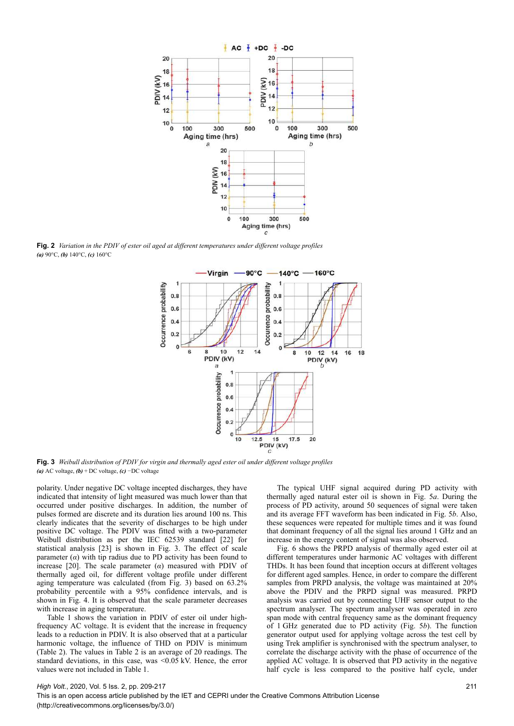

**Fig. 2** *Variation in the PDIV of ester oil aged at different temperatures under different voltage profiles (a)* 90°C, *(b)* 140°C, *(c)* 160°C



**Fig. 3** *Weibull distribution of PDIV for virgin and thermally aged ester oil under different voltage profiles (a)* AC voltage, *(b)* + DC voltage, *(c)* −DC voltage

polarity. Under negative DC voltage incepted discharges, they have indicated that intensity of light measured was much lower than that occurred under positive discharges. In addition, the number of pulses formed are discrete and its duration lies around 100 ns. This clearly indicates that the severity of discharges to be high under positive DC voltage. The PDIV was fitted with a two-parameter Weibull distribution as per the IEC 62539 standard [22] for statistical analysis [23] is shown in Fig. 3. The effect of scale parameter  $(a)$  with tip radius due to PD activity has been found to increase [20]. The scale parameter  $(a)$  measured with PDIV of thermally aged oil, for different voltage profile under different aging temperature was calculated (from Fig. 3) based on 63.2% probability percentile with a 95% confidence intervals, and is shown in Fig. 4. It is observed that the scale parameter decreases with increase in aging temperature.

Table 1 shows the variation in PDIV of ester oil under highfrequency AC voltage. It is evident that the increase in frequency leads to a reduction in PDIV. It is also observed that at a particular harmonic voltage, the influence of THD on PDIV is minimum (Table 2). The values in Table 2 is an average of 20 readings. The standard deviations, in this case, was <0.05 kV. Hence, the error values were not included in Table 1.

The typical UHF signal acquired during PD activity with thermally aged natural ester oil is shown in Fig. 5*a*. During the process of PD activity, around 50 sequences of signal were taken and its average FFT waveform has been indicated in Fig. 5*b*. Also, these sequences were repeated for multiple times and it was found that dominant frequency of all the signal lies around 1 GHz and an increase in the energy content of signal was also observed.

Fig. 6 shows the PRPD analysis of thermally aged ester oil at different temperatures under harmonic AC voltages with different THDs. It has been found that inception occurs at different voltages for different aged samples. Hence, in order to compare the different samples from PRPD analysis, the voltage was maintained at 20% above the PDIV and the PRPD signal was measured. PRPD analysis was carried out by connecting UHF sensor output to the spectrum analyser. The spectrum analyser was operated in zero span mode with central frequency same as the dominant frequency of 1 GHz generated due to PD activity (Fig. 5*b*). The function generator output used for applying voltage across the test cell by using Trek amplifier is synchronised with the spectrum analyser, to correlate the discharge activity with the phase of occurrence of the applied AC voltage. It is observed that PD activity in the negative half cycle is less compared to the positive half cycle, under

#### *High Volt.*, 2020, Vol. 5 Iss. 2, pp. 209-217

This is an open access article published by the IET and CEPRI under the Creative Commons Attribution License (http://creativecommons.org/licenses/by/3.0/)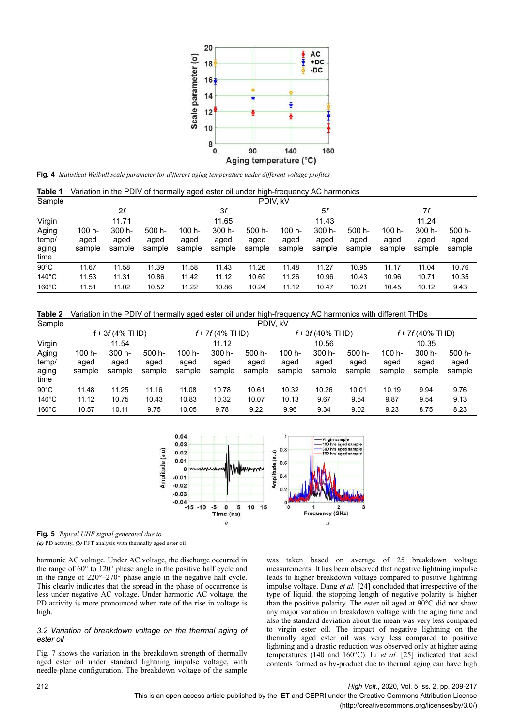

**Fig. 4** *Statistical Weibull scale parameter for different aging temperature under different voltage profiles*

**Table 1** Variation in the PDIV of thermally aged ester oil under high-frequency AC harmonics

| Sample                          |                          | PDIV. kV                 |                          |                          |                          |                          |                          |                          |                          |                          |                          |                          |
|---------------------------------|--------------------------|--------------------------|--------------------------|--------------------------|--------------------------|--------------------------|--------------------------|--------------------------|--------------------------|--------------------------|--------------------------|--------------------------|
|                                 |                          | 2f                       |                          |                          | 3f                       |                          | 5f                       |                          | 7f                       |                          |                          |                          |
| Virgin                          | 11.71                    |                          |                          | 11.65                    |                          | 11.43                    |                          |                          | 11.24                    |                          |                          |                          |
| Aging<br>temp/<br>aging<br>time | 100 h-<br>aged<br>sample | 300 h-<br>aged<br>sample | 500 h-<br>aged<br>sample | 100 h-<br>aged<br>sample | 300 h-<br>aged<br>sample | 500 h-<br>aged<br>sample | 100 h-<br>aged<br>sample | 300 h-<br>aged<br>sample | 500 h-<br>aged<br>sample | 100 h-<br>aged<br>sample | 300 h-<br>aged<br>sample | 500 h-<br>aged<br>sample |
| $90^{\circ}$ C                  | 11.67                    | 11.58                    | 11.39                    | 11.58                    | 11.43                    | 11.26                    | 11.48                    | 11.27                    | 10.95                    | 11.17                    | 11.04                    | 10.76                    |
| $140^{\circ}$ C                 | 11.53                    | 11.31                    | 10.86                    | 11.42                    | 11.12                    | 10.69                    | 11.26                    | 10.96                    | 10.43                    | 10.96                    | 10.71                    | 10.35                    |
| $160^{\circ}$ C                 | 11.51                    | 11.02                    | 10.52                    | 11.22                    | 10.86                    | 10.24                    | 11.12                    | 10.47                    | 10.21                    | 10.45                    | 10.12                    | 9.43                     |

**Table 2** Variation in the PDIV of thermally aged ester oil under high-frequency AC harmonics with different THDs

| Sample                          |                          | PDIV, kV                 |                          |                          |                          |                             |                            |                          |                          |                             |                             |                             |
|---------------------------------|--------------------------|--------------------------|--------------------------|--------------------------|--------------------------|-----------------------------|----------------------------|--------------------------|--------------------------|-----------------------------|-----------------------------|-----------------------------|
|                                 | $f + 3f(4% THD)$         |                          |                          | $f + 7f(4% THD)$         |                          |                             | $f + 3f(40\% \text{ THD})$ |                          |                          | $f + 7f(40\% \text{ THD})$  |                             |                             |
| Virgin                          |                          | 11.54                    |                          |                          | 11.12                    |                             | 10.56                      |                          |                          | 10.35                       |                             |                             |
| Aging<br>temp/<br>aging<br>time | 100 h-<br>aged<br>sample | 300 h-<br>aged<br>sample | 500 h-<br>aged<br>sample | 100 h-<br>aged<br>sample | 300 h-<br>aged<br>sample | $500 h -$<br>aged<br>sample | 100 h-<br>aged<br>sample   | 300 h-<br>aged<br>sample | 500 h-<br>aged<br>sample | $100 h -$<br>aged<br>sample | $300 h -$<br>aged<br>sample | $500 h -$<br>aged<br>sample |
| $90^{\circ}$ C                  | 11.48                    | 11.25                    | 11.16                    | 11.08                    | 10.78                    | 10.61                       | 10.32                      | 10.26                    | 10.01                    | 10.19                       | 9.94                        | 9.76                        |
| $140^{\circ}$ C                 | 11.12                    | 10.75                    | 10.43                    | 10.83                    | 10.32                    | 10.07                       | 10.13                      | 9.67                     | 9.54                     | 9.87                        | 9.54                        | 9.13                        |
| $160^{\circ}$ C                 | 10.57                    | 10.11                    | 9.75                     | 10.05                    | 9.78                     | 9.22                        | 9.96                       | 9.34                     | 9.02                     | 9.23                        | 8.75                        | 8.23                        |



**Fig. 5** *Typical UHF signal generated due to (a)* PD activity, *(b)* FFT analysis with thermally aged ester oil

harmonic AC voltage. Under AC voltage, the discharge occurred in the range of 60° to 120° phase angle in the positive half cycle and in the range of 220°–270° phase angle in the negative half cycle. This clearly indicates that the spread in the phase of occurrence is less under negative AC voltage. Under harmonic AC voltage, the PD activity is more pronounced when rate of the rise in voltage is high.

#### *3.2 Variation of breakdown voltage on the thermal aging of ester oil*

Fig. 7 shows the variation in the breakdown strength of thermally aged ester oil under standard lightning impulse voltage, with needle-plane configuration. The breakdown voltage of the sample was taken based on average of 25 breakdown voltage measurements. It has been observed that negative lightning impulse leads to higher breakdown voltage compared to positive lightning impulse voltage. Dang *et al.* [24] concluded that irrespective of the type of liquid, the stopping length of negative polarity is higher than the positive polarity. The ester oil aged at 90°C did not show any major variation in breakdown voltage with the aging time and also the standard deviation about the mean was very less compared to virgin ester oil. The impact of negative lightning on the thermally aged ester oil was very less compared to positive lightning and a drastic reduction was observed only at higher aging temperatures (140 and 160°C). Li *et al.* [25] indicated that acid contents formed as by-product due to thermal aging can have high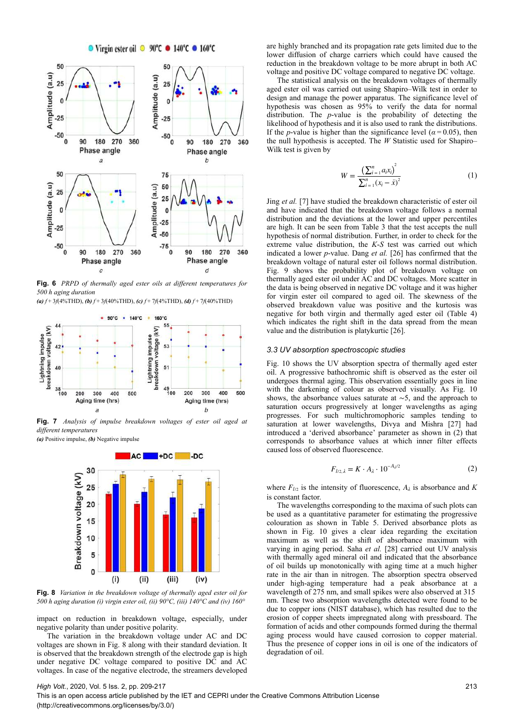

**Fig. 6** *PRPD of thermally aged ester oils at different temperatures for 500 h aging duration*

*(a) f* + 3*f*(4%THD), *(b) f* + 3*f*(40%THD), *(c) f* + 7*f*(4%THD), *(d) f* + 7*f*(40%THD)



**Fig. 7** *Analysis of impulse breakdown voltages of ester oil aged at different temperatures*

*(a)* Positive impulse, *(b)* Negative impulse



**Fig. 8** *Variation in the breakdown voltage of thermally aged ester oil for 500 h aging duration (i) virgin ester oil, (ii) 90°C, (iii) 140°C and (iv) 160°*

impact on reduction in breakdown voltage, especially, under negative polarity than under positive polarity.

The variation in the breakdown voltage under AC and DC voltages are shown in Fig. 8 along with their standard deviation. It is observed that the breakdown strength of the electrode gap is high under negative DC voltage compared to positive DC and AC voltages. In case of the negative electrode, the streamers developed

are highly branched and its propagation rate gets limited due to the lower diffusion of charge carriers which could have caused the reduction in the breakdown voltage to be more abrupt in both AC voltage and positive DC voltage compared to negative DC voltage.

The statistical analysis on the breakdown voltages of thermally aged ester oil was carried out using Shapiro–Wilk test in order to design and manage the power apparatus. The significance level of hypothesis was chosen as 95% to verify the data for normal distribution. The *p*-value is the probability of detecting the likelihood of hypothesis and it is also used to rank the distributions. If the *p*-value is higher than the significance level ( $\alpha$  = 0.05), then the null hypothesis is accepted. The *W* Statistic used for Shapiro– Wilk test is given by

$$
W = \frac{\left(\sum_{i=1}^{n} a_i x_i\right)^2}{\sum_{i=1}^{n} (x_i - \bar{x})^2}
$$
(1)

Jing *et al.* [7] have studied the breakdown characteristic of ester oil and have indicated that the breakdown voltage follows a normal distribution and the deviations at the lower and upper percentiles are high. It can be seen from Table 3 that the test accepts the null hypothesis of normal distribution. Further, in order to check for the extreme value distribution, the *K*-*S* test was carried out which indicated a lower *p*-value. Dang *et al.* [26] has confirmed that the breakdown voltage of natural ester oil follows normal distribution. Fig. 9 shows the probability plot of breakdown voltage on thermally aged ester oil under AC and DC voltages. More scatter in the data is being observed in negative DC voltage and it was higher for virgin ester oil compared to aged oil. The skewness of the observed breakdown value was positive and the kurtosis was negative for both virgin and thermally aged ester oil (Table 4) which indicates the right shift in the data spread from the mean value and the distribution is platykurtic [26].

#### *3.3 UV absorption spectroscopic studies*

Fig. 10 shows the UV absorption spectra of thermally aged ester oil. A progressive bathochromic shift is observed as the ester oil undergoes thermal aging. This observation essentially goes in line with the darkening of colour as observed visually. As Fig. 10 shows, the absorbance values saturate at ∼5, and the approach to saturation occurs progressively at longer wavelengths as aging progresses. For such multichromophoric samples tending to saturation at lower wavelengths, Divya and Mishra [27] had introduced a 'derived absorbance' parameter as shown in (2) that corresponds to absorbance values at which inner filter effects caused loss of observed fluorescence.

$$
F_{l/2,\lambda} = K \cdot A_{\lambda} \cdot 10^{-A_{\lambda}/2} \tag{2}
$$

where  $F_{l/2}$  is the intensity of fluorescence,  $A_{\lambda}$  is absorbance and *K* is constant factor.

The wavelengths corresponding to the maxima of such plots can be used as a quantitative parameter for estimating the progressive colouration as shown in Table 5. Derived absorbance plots as shown in Fig. 10 gives a clear idea regarding the excitation maximum as well as the shift of absorbance maximum with varying in aging period. Saha *et al.* [28] carried out UV analysis with thermally aged mineral oil and indicated that the absorbance of oil builds up monotonically with aging time at a much higher rate in the air than in nitrogen. The absorption spectra observed under high-aging temperature had a peak absorbance at a wavelength of 275 nm, and small spikes were also observed at 315  nm. These two absorption wavelengths detected were found to be due to copper ions (NIST database), which has resulted due to the erosion of copper sheets impregnated along with pressboard. The formation of acids and other compounds formed during the thermal aging process would have caused corrosion to copper material. Thus the presence of copper ions in oil is one of the indicators of degradation of oil.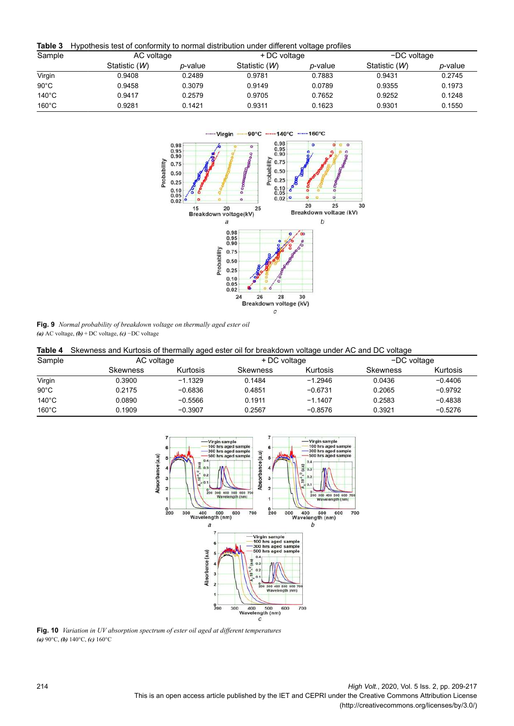**Table 3** Hypothesis test of conformity to normal distribution under different voltage profiles

| Sample          | AC voltage    |                 | + DC voltage  |                 | -DC voltage   |                 |  |
|-----------------|---------------|-----------------|---------------|-----------------|---------------|-----------------|--|
|                 | Statistic (W) | <i>p</i> -value | Statistic (W) | <i>p</i> -value | Statistic (W) | <i>p</i> -value |  |
| Virgin          | 0.9408        | 0.2489          | 0.9781        | 0.7883          | 0.9431        | 0.2745          |  |
| $90^{\circ}$ C  | 0.9458        | 0.3079          | 0.9149        | 0.0789          | 0.9355        | 0.1973          |  |
| $140^{\circ}$ C | 0.9417        | 0.2579          | 0.9705        | 0.7652          | 0.9252        | 0.1248          |  |
| $160^{\circ}$ C | 0.9281        | 0.1421          | 0.9311        | 0.1623          | 0.9301        | 0.1550          |  |



**Fig. 9** *Normal probability of breakdown voltage on thermally aged ester oil (a)* AC voltage, *(b)* + DC voltage, *(c)* −DC voltage

**Table 4** Skewness and Kurtosis of thermally aged ester oil for breakdown voltage under AC and DC voltage

| Sample          | AC voltage | - -       | + DC voltage    |           | -DC voltage     |           |  |
|-----------------|------------|-----------|-----------------|-----------|-----------------|-----------|--|
|                 | Skewness   | Kurtosis  | <b>Skewness</b> | Kurtosis  | <b>Skewness</b> | Kurtosis  |  |
| Virgin          | 0.3900     | $-1.1329$ | 0.1484          | $-1.2946$ | 0.0436          | $-0.4406$ |  |
| $90^{\circ}$ C  | 0.2175     | $-0.6836$ | 0.4851          | $-0.6731$ | 0.2065          | $-0.9792$ |  |
| $140^{\circ}$ C | 0.0890     | $-0.5566$ | 0.1911          | $-1.1407$ | 0.2583          | $-0.4838$ |  |
| $160^{\circ}$ C | 0.1909     | $-0.3907$ | 0.2567          | $-0.8576$ | 0.3921          | $-0.5276$ |  |



**Fig. 10** *Variation in UV absorption spectrum of ester oil aged at different temperatures (a)* 90°C, *(b)* 140°C, *(c)* 160°C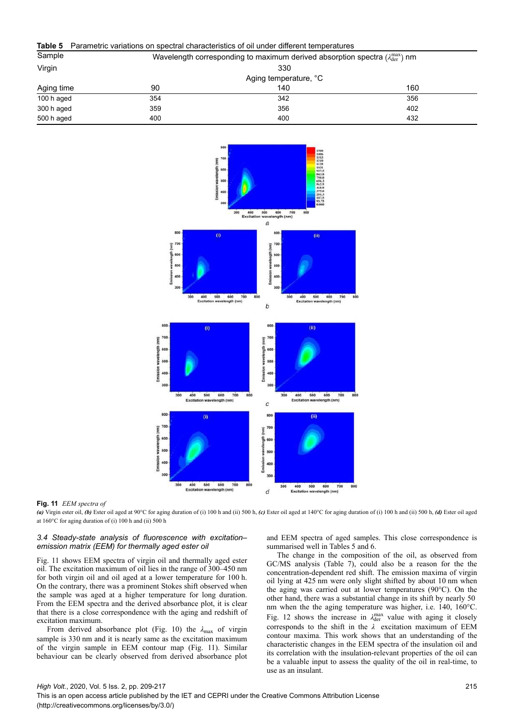# **Table 5** Parametric variations on spectral characteristics of oil under different temperatures

| Sample     | Wavelength corresponding to maximum derived absorption spectra $(\lambda_{\text{der}}^{\text{max}})$ nm |                       |     |  |  |  |  |  |
|------------|---------------------------------------------------------------------------------------------------------|-----------------------|-----|--|--|--|--|--|
| Virgin     |                                                                                                         | 330                   |     |  |  |  |  |  |
|            |                                                                                                         | Aging temperature, °C |     |  |  |  |  |  |
| Aging time | 90                                                                                                      | 140                   | 160 |  |  |  |  |  |
| 100 h aged | 354                                                                                                     | 342                   | 356 |  |  |  |  |  |
| 300 h aged | 359                                                                                                     | 356                   | 402 |  |  |  |  |  |
| 500 h aged | 400                                                                                                     | 400                   | 432 |  |  |  |  |  |



#### **Fig. 11** *EEM spectra of*

*(a)* Virgin ester oil, *(b)* Ester oil aged at 90°C for aging duration of (i) 100 h and (ii) 500 h, *(c)* Ester oil aged at 140°C for aging duration of (i) 100 h and (ii) 500 h, *(d)* Ester oil aged at 160°C for aging duration of (i) 100 h and (ii) 500 h

# *3.4 Steady-state analysis of fluorescence with excitation– emission matrix (EEM) for thermally aged ester oil*

Fig. 11 shows EEM spectra of virgin oil and thermally aged ester oil. The excitation maximum of oil lies in the range of 300–450 nm for both virgin oil and oil aged at a lower temperature for 100 h. On the contrary, there was a prominent Stokes shift observed when the sample was aged at a higher temperature for long duration. From the EEM spectra and the derived absorbance plot, it is clear that there is a close correspondence with the aging and redshift of excitation maximum.

From derived absorbance plot (Fig. 10) the *λ*max of virgin sample is 330 nm and it is nearly same as the excitation maximum of the virgin sample in EEM contour map (Fig. 11). Similar behaviour can be clearly observed from derived absorbance plot and EEM spectra of aged samples. This close correspondence is summarised well in Tables 5 and 6.

The change in the composition of the oil, as observed from GC/MS analysis (Table 7), could also be a reason for the the concentration-dependent red shift. The emission maxima of virgin oil lying at 425 nm were only slight shifted by about 10 nm when the aging was carried out at lower temperatures (90°C). On the other hand, there was a substantial change in its shift by nearly 50  nm when the the aging temperature was higher, i.e. 140, 160°C. Fig. 12 shows the increase in  $\lambda_{\text{der}}^{\text{max}}$  value with aging it closely corresponds to the shift in the *λ* excitation maximum of EEM contour maxima. This work shows that an understanding of the characteristic changes in the EEM spectra of the insulation oil and its correlation with the insulation-relevant properties of the oil can be a valuable input to assess the quality of the oil in real-time, to use as an insulant.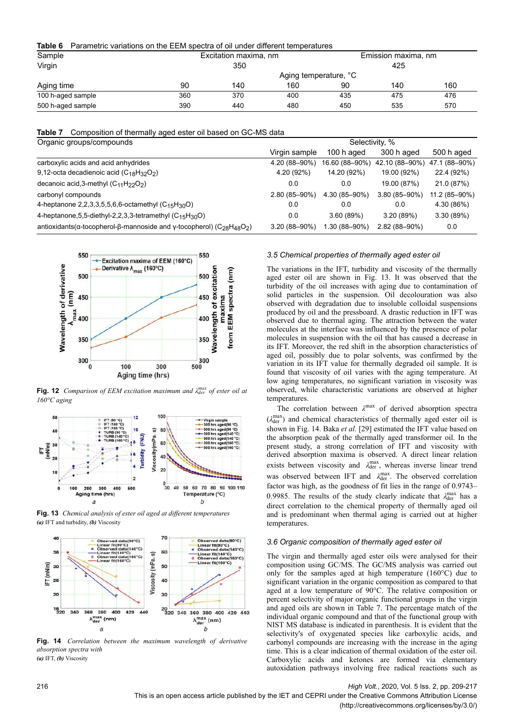**Table 6** Parametric variations on the EEM spectra of oil under different temperatures

| Sample            |                       | Excitation maxima, nm |     |     | Emission maxima, nm |     |  |
|-------------------|-----------------------|-----------------------|-----|-----|---------------------|-----|--|
| Virgin            |                       | 350                   |     |     | 425                 |     |  |
|                   | Aging temperature, °C |                       |     |     |                     |     |  |
| Aging time        | 90                    | 140                   | 160 | 90  | 140                 | 160 |  |
| 100 h-aged sample | 360                   | 370                   | 400 | 435 | 475                 | 476 |  |
| 500 h-aged sample | 390                   | 440                   | 480 | 450 | 535                 | 570 |  |

**Table 7** Composition of thermally aged ester oil based on GC-MS data

| Organic groups/compounds                                                                                                           | Selectivity, %    |                |                   |               |  |  |  |
|------------------------------------------------------------------------------------------------------------------------------------|-------------------|----------------|-------------------|---------------|--|--|--|
|                                                                                                                                    | Virgin sample     | 100 h aged     | 300 h aged        | 500 h aged    |  |  |  |
| carboxylic acids and acid anhydrides                                                                                               | 4.20 (88-90%)     | 16.60 (88-90%) | 42.10 (88-90%)    | 47.1 (88-90%) |  |  |  |
| 9,12-octa decadienoic acid $(C_{18}H_{32}O_2)$                                                                                     | 4.20 (92%)        | 14.20 (92%)    | 19.00 (92%)       | 22.4 (92%)    |  |  |  |
| decanoic acid, 3-methyl $(C_{11}H_{22}O_2)$                                                                                        | 0.0               | 0.0            | 19.00 (87%)       | 21.0 (87%)    |  |  |  |
| carbonyl compounds                                                                                                                 | 2.80 (85-90%)     | 4.30 (85-90%)  | $3.80(85 - 90\%)$ | 11.2 (85-90%) |  |  |  |
| 4-heptanone 2,2,3,3,5,5,6,6-octamethyl $(C_{15}H_{30}O)$                                                                           | 0.0               | 0.0            | 0.0               | 4.30 (86%)    |  |  |  |
| 4-heptanone, 5, 5-diethyl-2, 2, 3, 3-tetramethyl (C <sub>15</sub> H <sub>30</sub> O)                                               | 0.0               | 3.60(89%)      | 3.20(89%)         | 3.30(89%)     |  |  |  |
| antioxidants( $\alpha$ -tocopherol- $\beta$ -mannoside and $\gamma$ -tocopherol) (C <sub>28</sub> H <sub>48</sub> O <sub>2</sub> ) | $3.20(88 - 90\%)$ | 1.30 (88-90%)  | $2.82(88 - 90\%)$ | 0.0           |  |  |  |



**Fig. 12** *Comparison of EEM excitation maximum and*  $\lambda_{der}^{max}$  *of ester oil at 160°C aging*







**Fig. 14** *Correlation between the maximum wavelength of derivative absorption spectra with (a)* IFT, *(b)* Viscosity

#### *3.5 Chemical properties of thermally aged ester oil*

The variations in the IFT, turbidity and viscosity of the thermally aged ester oil are shown in Fig. 13. It was observed that the turbidity of the oil increases with aging due to contamination of solid particles in the suspension. Oil decolouration was also observed with degradation due to insoluble colloidal suspensions produced by oil and the pressboard. A drastic reduction in IFT was observed due to thermal aging. The attraction between the water molecules at the interface was influenced by the presence of polar molecules in suspension with the oil that has caused a decrease in its IFT. Moreover, the red shift in the absorption characteristics of aged oil, possibly due to polar solvents, was confirmed by the variation in its IFT value for thermally degraded oil sample. It is found that viscosity of oil varies with the aging temperature. At low aging temperatures, no significant variation in viscosity was observed, while characteristic variations are observed at higher temperatures.

The correlation between  $\lambda^{\max}$  of derived absorption spectra ( $\lambda_{\text{der}}^{\text{max}}$ ) and chemical characteristics of thermally aged ester oil is shown in Fig. 14. Baka *et al.* [29] estimated the IFT value based on the absorption peak of the thermally aged transformer oil. In the present study, a strong correlation of IFT and viscosity with derived absorption maxima is observed. A direct linear relation exists between viscosity and  $\lambda_{\text{der}}^{\text{max}}$ , whereas inverse linear trend was observed between IFT and  $λ_{\text{der}}^{\text{max}}$ . The observed correlation factor was high, as the goodness of fit lies in the range of 0.9743– 0.9985. The results of the study clearly indicate that  $\lambda_{\text{der}}^{\text{max}}$  has a direct correlation to the chemical property of thermally aged oil and is predominant when thermal aging is carried out at higher temperatures.

# *3.6 Organic composition of thermally aged ester oil*

The virgin and thermally aged ester oils were analysed for their composition using GC/MS. The GC/MS analysis was carried out only for the samples aged at high temperature (160°C) due to significant variation in the organic composition as compared to that aged at a low temperature of 90°C. The relative composition or percent selectivity of major organic functional groups in the virgin and aged oils are shown in Table 7. The percentage match of the individual organic compound and that of the functional group with NIST MS database is indicated in parenthesis. It is evident that the selectivity's of oxygenated species like carboxylic acids, and carbonyl compounds are increasing with the increase in the aging time. This is a clear indication of thermal oxidation of the ester oil. Carboxylic acids and ketones are formed via elementary autoxidation pathways involving free radical reactions such as